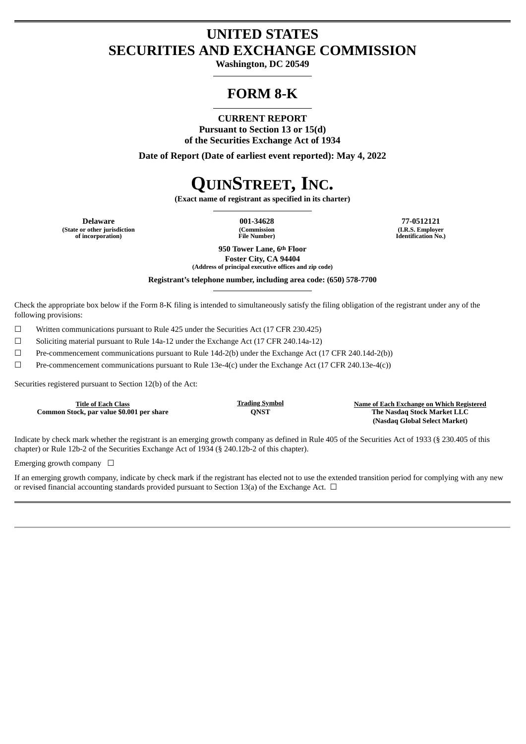# **UNITED STATES SECURITIES AND EXCHANGE COMMISSION**

**Washington, DC 20549**

# **FORM 8-K**

**CURRENT REPORT Pursuant to Section 13 or 15(d) of the Securities Exchange Act of 1934**

**Date of Report (Date of earliest event reported): May 4, 2022**

# **QUINSTREET, INC.**

**(Exact name of registrant as specified in its charter)**

**(State or other jurisdiction of incorporation)**

**(Commission File Number)**

**Delaware 001-34628 77-0512121 (I.R.S. Employer Identification No.)**

> **950 Tower Lane, 6th Floor Foster City, CA 94404 (Address of principal executive offices and zip code)**

**Registrant's telephone number, including area code: (650) 578-7700**

Check the appropriate box below if the Form 8-K filing is intended to simultaneously satisfy the filing obligation of the registrant under any of the following provisions:

 $\Box$  Written communications pursuant to Rule 425 under the Securities Act (17 CFR 230.425)

☐ Soliciting material pursuant to Rule 14a-12 under the Exchange Act (17 CFR 240.14a-12)

☐ Pre-commencement communications pursuant to Rule 14d-2(b) under the Exchange Act (17 CFR 240.14d-2(b))

 $□$  Pre-commencement communications pursuant to Rule 13e-4(c) under the Exchange Act (17 CFR 240.13e-4(c))

Securities registered pursuant to Section 12(b) of the Act:

**Common Stock, par value \$0.001 per share** 

**Title of Each Class Trading Symbol Name of Each Exchange on Which Registered (Nasdaq Global Select Market)**

Indicate by check mark whether the registrant is an emerging growth company as defined in Rule 405 of the Securities Act of 1933 (§ 230.405 of this chapter) or Rule 12b-2 of the Securities Exchange Act of 1934 (§ 240.12b-2 of this chapter).

Emerging growth company  $\Box$ 

If an emerging growth company, indicate by check mark if the registrant has elected not to use the extended transition period for complying with any new or revised financial accounting standards provided pursuant to Section 13(a) of the Exchange Act. □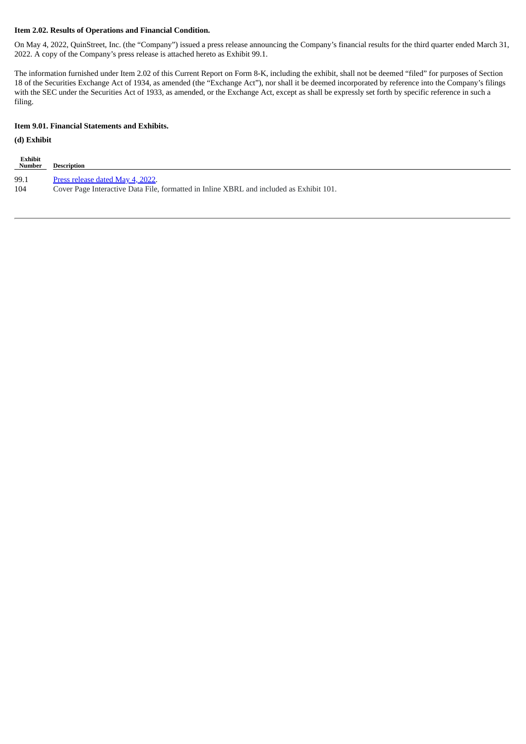# **Item 2.02. Results of Operations and Financial Condition.**

On May 4, 2022, QuinStreet, Inc. (the "Company") issued a press release announcing the Company's financial results for the third quarter ended March 31, 2022. A copy of the Company's press release is attached hereto as Exhibit 99.1.

The information furnished under Item 2.02 of this Current Report on Form 8-K, including the exhibit, shall not be deemed "filed" for purposes of Section 18 of the Securities Exchange Act of 1934, as amended (the "Exchange Act"), nor shall it be deemed incorporated by reference into the Company's filings with the SEC under the Securities Act of 1933, as amended, or the Exchange Act, except as shall be expressly set forth by specific reference in such a filing.

#### **Item 9.01. Financial Statements and Exhibits.**

# **(d) Exhibit**

| <b>Exhibit</b><br><b>Number</b> | Description                                                                             |
|---------------------------------|-----------------------------------------------------------------------------------------|
| 99.1                            | Press release dated May 4, 2022.                                                        |
| 104                             | Cover Page Interactive Data File, formatted in Inline XBRL and included as Exhibit 101. |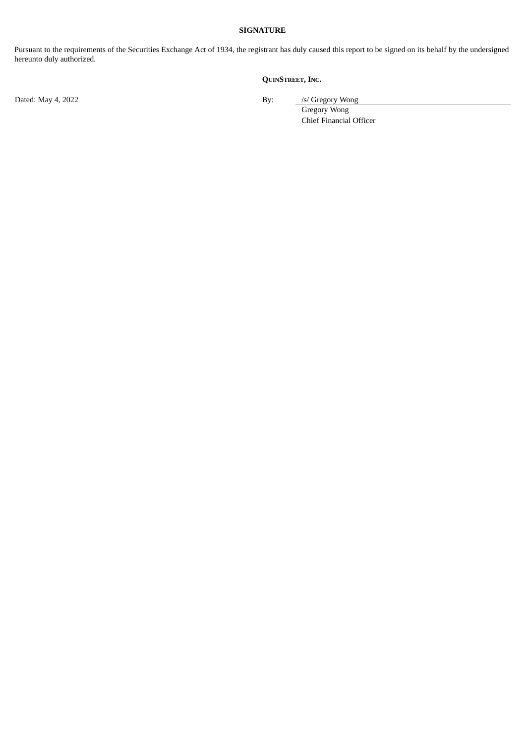## **SIGNATURE**

Pursuant to the requirements of the Securities Exchange Act of 1934, the registrant has duly caused this report to be signed on its behalf by the undersigned hereunto duly authorized.

# **QUINSTREET, INC.**

Dated: May 4, 2022 By: /s/ Gregory Wong

Gregory Wong Chief Financial Officer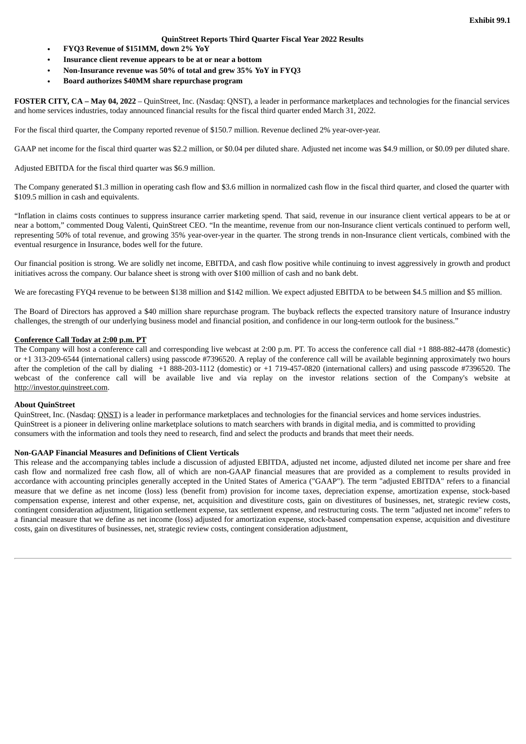#### **QuinStreet Reports Third Quarter Fiscal Year 2022 Results**

- <span id="page-3-0"></span>• **FYQ3 Revenue of \$151MM, down 2% YoY**
- **Insurance client revenue appears to be at or near a bottom**
- **Non-Insurance revenue was 50% of total and grew 35% YoY in FYQ3**
- **Board authorizes \$40MM share repurchase program**

**FOSTER CITY, CA – May 04, 2022** – QuinStreet, Inc. (Nasdaq: QNST), a leader in performance marketplaces and technologies for the financial services and home services industries, today announced financial results for the fiscal third quarter ended March 31, 2022.

For the fiscal third quarter, the Company reported revenue of \$150.7 million. Revenue declined 2% year-over-year.

GAAP net income for the fiscal third quarter was \$2.2 million, or \$0.04 per diluted share. Adjusted net income was \$4.9 million, or \$0.09 per diluted share.

Adjusted EBITDA for the fiscal third quarter was \$6.9 million.

The Company generated \$1.3 million in operating cash flow and \$3.6 million in normalized cash flow in the fiscal third quarter, and closed the quarter with \$109.5 million in cash and equivalents.

"Inflation in claims costs continues to suppress insurance carrier marketing spend. That said, revenue in our insurance client vertical appears to be at or near a bottom," commented Doug Valenti, QuinStreet CEO. "In the meantime, revenue from our non-Insurance client verticals continued to perform well, representing 50% of total revenue, and growing 35% year-over-year in the quarter. The strong trends in non-Insurance client verticals, combined with the eventual resurgence in Insurance, bodes well for the future.

Our financial position is strong. We are solidly net income, EBITDA, and cash flow positive while continuing to invest aggressively in growth and product initiatives across the company. Our balance sheet is strong with over \$100 million of cash and no bank debt.

We are forecasting FYQ4 revenue to be between \$138 million and \$142 million. We expect adjusted EBITDA to be between \$4.5 million and \$5 million.

The Board of Directors has approved a \$40 million share repurchase program. The buyback reflects the expected transitory nature of Insurance industry challenges, the strength of our underlying business model and financial position, and confidence in our long-term outlook for the business."

#### **Conference Call Today at 2:00 p.m. PT**

The Company will host a conference call and corresponding live webcast at 2:00 p.m. PT. To access the conference call dial +1 888-882-4478 (domestic) or +1 313-209-6544 (international callers) using passcode #7396520. A replay of the conference call will be available beginning approximately two hours after the completion of the call by dialing +1 888-203-1112 (domestic) or +1 719-457-0820 (international callers) and using passcode #7396520. The webcast of the conference call will be available live and via replay on the investor relations section of the Company's website at http://investor.quinstreet.com.

#### **About QuinStreet**

QuinStreet, Inc. (Nasdaq: QNST) is a leader in performance marketplaces and technologies for the financial services and home services industries. QuinStreet is a pioneer in delivering online marketplace solutions to match searchers with brands in digital media, and is committed to providing consumers with the information and tools they need to research, find and select the products and brands that meet their needs.

#### **Non-GAAP Financial Measures and Definitions of Client Verticals**

This release and the accompanying tables include a discussion of adjusted EBITDA, adjusted net income, adjusted diluted net income per share and free cash flow and normalized free cash flow, all of which are non-GAAP financial measures that are provided as a complement to results provided in accordance with accounting principles generally accepted in the United States of America ("GAAP"). The term "adjusted EBITDA" refers to a financial measure that we define as net income (loss) less (benefit from) provision for income taxes, depreciation expense, amortization expense, stock-based compensation expense, interest and other expense, net, acquisition and divestiture costs, gain on divestitures of businesses, net, strategic review costs, contingent consideration adjustment, litigation settlement expense, tax settlement expense, and restructuring costs. The term "adjusted net income" refers to a financial measure that we define as net income (loss) adjusted for amortization expense, stock-based compensation expense, acquisition and divestiture costs, gain on divestitures of businesses, net, strategic review costs, contingent consideration adjustment,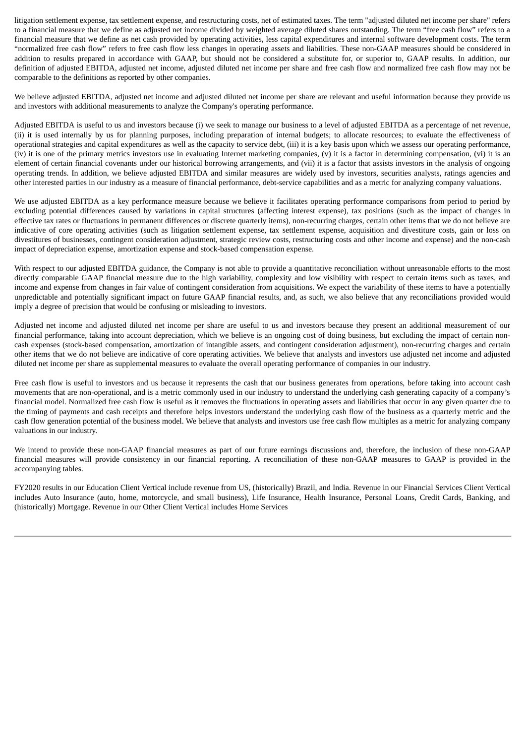litigation settlement expense, tax settlement expense, and restructuring costs, net of estimated taxes. The term "adjusted diluted net income per share" refers to a financial measure that we define as adjusted net income divided by weighted average diluted shares outstanding. The term "free cash flow" refers to a financial measure that we define as net cash provided by operating activities, less capital expenditures and internal software development costs. The term "normalized free cash flow" refers to free cash flow less changes in operating assets and liabilities. These non-GAAP measures should be considered in addition to results prepared in accordance with GAAP, but should not be considered a substitute for, or superior to, GAAP results. In addition, our definition of adjusted EBITDA, adjusted net income, adjusted diluted net income per share and free cash flow and normalized free cash flow may not be comparable to the definitions as reported by other companies.

We believe adjusted EBITDA, adjusted net income and adjusted diluted net income per share are relevant and useful information because they provide us and investors with additional measurements to analyze the Company's operating performance.

Adjusted EBITDA is useful to us and investors because (i) we seek to manage our business to a level of adjusted EBITDA as a percentage of net revenue, (ii) it is used internally by us for planning purposes, including preparation of internal budgets; to allocate resources; to evaluate the effectiveness of operational strategies and capital expenditures as well as the capacity to service debt, (iii) it is a key basis upon which we assess our operating performance, (iv) it is one of the primary metrics investors use in evaluating Internet marketing companies, (v) it is a factor in determining compensation, (vi) it is an element of certain financial covenants under our historical borrowing arrangements, and (vii) it is a factor that assists investors in the analysis of ongoing operating trends. In addition, we believe adjusted EBITDA and similar measures are widely used by investors, securities analysts, ratings agencies and other interested parties in our industry as a measure of financial performance, debt-service capabilities and as a metric for analyzing company valuations.

We use adjusted EBITDA as a key performance measure because we believe it facilitates operating performance comparisons from period to period by excluding potential differences caused by variations in capital structures (affecting interest expense), tax positions (such as the impact of changes in effective tax rates or fluctuations in permanent differences or discrete quarterly items), non-recurring charges, certain other items that we do not believe are indicative of core operating activities (such as litigation settlement expense, tax settlement expense, acquisition and divestiture costs, gain or loss on divestitures of businesses, contingent consideration adjustment, strategic review costs, restructuring costs and other income and expense) and the non-cash impact of depreciation expense, amortization expense and stock-based compensation expense.

With respect to our adjusted EBITDA guidance, the Company is not able to provide a quantitative reconciliation without unreasonable efforts to the most directly comparable GAAP financial measure due to the high variability, complexity and low visibility with respect to certain items such as taxes, and income and expense from changes in fair value of contingent consideration from acquisitions. We expect the variability of these items to have a potentially unpredictable and potentially significant impact on future GAAP financial results, and, as such, we also believe that any reconciliations provided would imply a degree of precision that would be confusing or misleading to investors.

Adjusted net income and adjusted diluted net income per share are useful to us and investors because they present an additional measurement of our financial performance, taking into account depreciation, which we believe is an ongoing cost of doing business, but excluding the impact of certain noncash expenses (stock-based compensation, amortization of intangible assets, and contingent consideration adjustment), non-recurring charges and certain other items that we do not believe are indicative of core operating activities. We believe that analysts and investors use adjusted net income and adjusted diluted net income per share as supplemental measures to evaluate the overall operating performance of companies in our industry.

Free cash flow is useful to investors and us because it represents the cash that our business generates from operations, before taking into account cash movements that are non-operational, and is a metric commonly used in our industry to understand the underlying cash generating capacity of a company's financial model. Normalized free cash flow is useful as it removes the fluctuations in operating assets and liabilities that occur in any given quarter due to the timing of payments and cash receipts and therefore helps investors understand the underlying cash flow of the business as a quarterly metric and the cash flow generation potential of the business model. We believe that analysts and investors use free cash flow multiples as a metric for analyzing company valuations in our industry.

We intend to provide these non-GAAP financial measures as part of our future earnings discussions and, therefore, the inclusion of these non-GAAP financial measures will provide consistency in our financial reporting. A reconciliation of these non-GAAP measures to GAAP is provided in the accompanying tables.

FY2020 results in our Education Client Vertical include revenue from US, (historically) Brazil, and India. Revenue in our Financial Services Client Vertical includes Auto Insurance (auto, home, motorcycle, and small business), Life Insurance, Health Insurance, Personal Loans, Credit Cards, Banking, and (historically) Mortgage. Revenue in our Other Client Vertical includes Home Services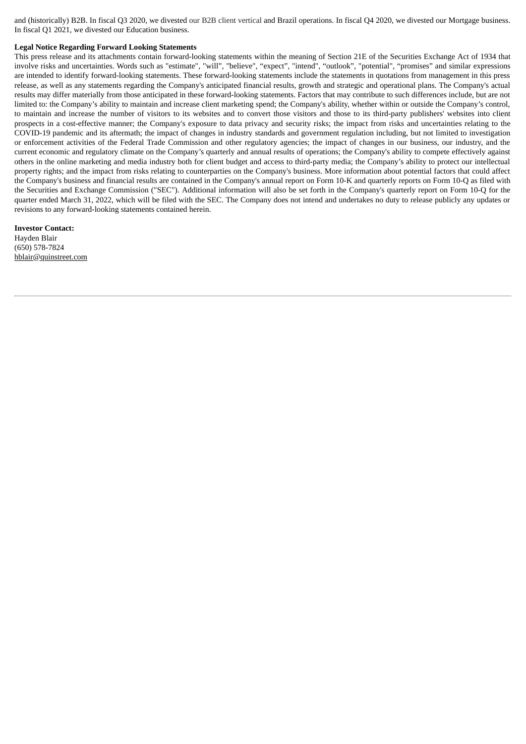and (historically) B2B. In fiscal Q3 2020, we divested our B2B client vertical and Brazil operations. In fiscal Q4 2020, we divested our Mortgage business. In fiscal Q1 2021, we divested our Education business.

#### **Legal Notice Regarding Forward Looking Statements**

This press release and its attachments contain forward-looking statements within the meaning of Section 21E of the Securities Exchange Act of 1934 that involve risks and uncertainties. Words such as "estimate", "will", "believe", "expect", "intend", "outlook", "potential", "promises" and similar expressions are intended to identify forward-looking statements. These forward-looking statements include the statements in quotations from management in this press release, as well as any statements regarding the Company's anticipated financial results, growth and strategic and operational plans. The Company's actual results may differ materially from those anticipated in these forward-looking statements. Factors that may contribute to such differences include, but are not limited to: the Company's ability to maintain and increase client marketing spend; the Company's ability, whether within or outside the Company's control, to maintain and increase the number of visitors to its websites and to convert those visitors and those to its third-party publishers' websites into client prospects in a cost-effective manner; the Company's exposure to data privacy and security risks; the impact from risks and uncertainties relating to the COVID-19 pandemic and its aftermath; the impact of changes in industry standards and government regulation including, but not limited to investigation or enforcement activities of the Federal Trade Commission and other regulatory agencies; the impact of changes in our business, our industry, and the current economic and regulatory climate on the Company's quarterly and annual results of operations; the Company's ability to compete effectively against others in the online marketing and media industry both for client budget and access to third-party media; the Company's ability to protect our intellectual property rights; and the impact from risks relating to counterparties on the Company's business. More information about potential factors that could affect the Company's business and financial results are contained in the Company's annual report on Form 10-K and quarterly reports on Form 10-Q as filed with the Securities and Exchange Commission ("SEC"). Additional information will also be set forth in the Company's quarterly report on Form 10-Q for the quarter ended March 31, 2022, which will be filed with the SEC. The Company does not intend and undertakes no duty to release publicly any updates or revisions to any forward-looking statements contained herein.

#### **Investor Contact:** Hayden Blair (650) 578-7824 hblair@quinstreet.com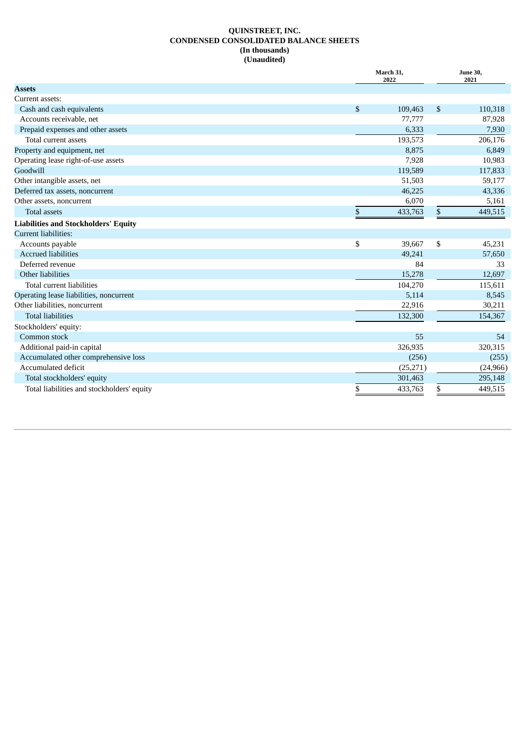# **QUINSTREET, INC. CONDENSED CONSOLIDATED BALANCE SHEETS (In thousands) (Unaudited)**

|                                             |              | March 31,<br>2022 | <b>June 30,</b><br>2021 |
|---------------------------------------------|--------------|-------------------|-------------------------|
| <b>Assets</b>                               |              |                   |                         |
| Current assets:                             |              |                   |                         |
| Cash and cash equivalents                   | $\mathbb{S}$ | 109,463           | \$<br>110,318           |
| Accounts receivable, net                    |              | 77,777            | 87,928                  |
| Prepaid expenses and other assets           |              | 6,333             | 7,930                   |
| Total current assets                        |              | 193,573           | 206,176                 |
| Property and equipment, net                 |              | 8,875             | 6,849                   |
| Operating lease right-of-use assets         |              | 7,928             | 10,983                  |
| Goodwill                                    |              | 119,589           | 117,833                 |
| Other intangible assets, net                |              | 51,503            | 59,177                  |
| Deferred tax assets, noncurrent             |              | 46,225            | 43,336                  |
| Other assets, noncurrent                    |              | 6,070             | 5,161                   |
| <b>Total assets</b>                         | \$           | 433,763           | \$<br>449,515           |
| <b>Liabilities and Stockholders' Equity</b> |              |                   |                         |
| Current liabilities:                        |              |                   |                         |
| Accounts payable                            | \$           | 39,667            | \$<br>45,231            |
| <b>Accrued liabilities</b>                  |              | 49,241            | 57,650                  |
| Deferred revenue                            |              | 84                | 33                      |
| Other liabilities                           |              | 15,278            | 12,697                  |
| Total current liabilities                   |              | 104,270           | 115,611                 |
| Operating lease liabilities, noncurrent     |              | 5,114             | 8,545                   |
| Other liabilities, noncurrent               |              | 22,916            | 30,211                  |
| <b>Total liabilities</b>                    |              | 132,300           | 154,367                 |
| Stockholders' equity:                       |              |                   |                         |
| Common stock                                |              | 55                | 54                      |
| Additional paid-in capital                  |              | 326,935           | 320,315                 |
| Accumulated other comprehensive loss        |              | (256)             | (255)                   |
| Accumulated deficit                         |              | (25, 271)         | (24, 966)               |
| Total stockholders' equity                  |              | 301,463           | 295,148                 |
| Total liabilities and stockholders' equity  | \$           | 433,763           | \$<br>449,515           |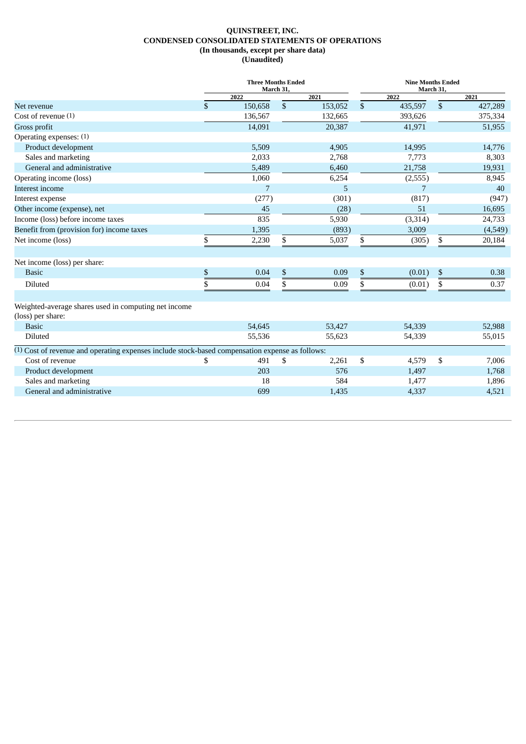#### **QUINSTREET, INC. CONDENSED CONSOLIDATED STATEMENTS OF OPERATIONS (In thousands, except per share data) (Unaudited)**

|                                                                                                            | <b>Three Months Ended</b><br>March 31. |         |              |         |              | <b>Nine Months Ended</b><br>March 31, |    |         |  |
|------------------------------------------------------------------------------------------------------------|----------------------------------------|---------|--------------|---------|--------------|---------------------------------------|----|---------|--|
|                                                                                                            |                                        | 2022    |              | 2021    |              | 2022                                  |    | 2021    |  |
| Net revenue                                                                                                | $\mathbf{\$}$                          | 150,658 | $\mathbb{S}$ | 153,052 | $\mathbb{S}$ | 435,597                               | \$ | 427,289 |  |
| Cost of revenue (1)                                                                                        |                                        | 136,567 |              | 132,665 |              | 393,626                               |    | 375,334 |  |
| Gross profit                                                                                               |                                        | 14,091  |              | 20,387  |              | 41,971                                |    | 51,955  |  |
| Operating expenses: (1)                                                                                    |                                        |         |              |         |              |                                       |    |         |  |
| Product development                                                                                        |                                        | 5,509   |              | 4,905   |              | 14,995                                |    | 14,776  |  |
| Sales and marketing                                                                                        |                                        | 2,033   |              | 2,768   |              | 7,773                                 |    | 8,303   |  |
| General and administrative                                                                                 |                                        | 5,489   |              | 6,460   |              | 21,758                                |    | 19,931  |  |
| Operating income (loss)                                                                                    |                                        | 1,060   |              | 6,254   |              | (2, 555)                              |    | 8,945   |  |
| Interest income                                                                                            |                                        | 7       |              | 5       |              | 7                                     |    | 40      |  |
| Interest expense                                                                                           |                                        | (277)   |              | (301)   |              | (817)                                 |    | (947)   |  |
| Other income (expense), net                                                                                |                                        | 45      |              | (28)    |              | 51                                    |    | 16,695  |  |
| Income (loss) before income taxes                                                                          |                                        | 835     |              | 5,930   |              | (3,314)                               |    | 24,733  |  |
| Benefit from (provision for) income taxes                                                                  |                                        | 1,395   |              | (893)   |              | 3,009                                 |    | (4,549) |  |
| Net income (loss)                                                                                          | \$                                     | 2,230   | \$           | 5,037   | \$           | (305)                                 | \$ | 20,184  |  |
| Net income (loss) per share:                                                                               |                                        |         |              |         |              |                                       |    |         |  |
| <b>Basic</b>                                                                                               | \$                                     | 0.04    | \$           | 0.09    | \$           | (0.01)                                | \$ | 0.38    |  |
| Diluted                                                                                                    | \$                                     | 0.04    | \$           | 0.09    | \$           | (0.01)                                | \$ | 0.37    |  |
| Weighted-average shares used in computing net income<br>(loss) per share:                                  |                                        |         |              |         |              |                                       |    |         |  |
| <b>Basic</b>                                                                                               |                                        | 54,645  |              | 53,427  |              | 54,339                                |    | 52,988  |  |
| Diluted                                                                                                    |                                        | 55,536  |              | 55,623  |              | 54,339                                |    | 55,015  |  |
| <sup>(1)</sup> Cost of revenue and operating expenses include stock-based compensation expense as follows: |                                        |         |              |         |              |                                       |    |         |  |
| Cost of revenue                                                                                            | \$                                     | 491     | \$           | 2,261   | \$           | 4,579                                 | \$ | 7,006   |  |
| Product development                                                                                        |                                        | 203     |              | 576     |              | 1,497                                 |    | 1,768   |  |
| Sales and marketing                                                                                        |                                        | 18      |              | 584     |              | 1,477                                 |    | 1,896   |  |
| General and administrative                                                                                 |                                        | 699     |              | 1,435   |              | 4,337                                 |    | 4,521   |  |
|                                                                                                            |                                        |         |              |         |              |                                       |    |         |  |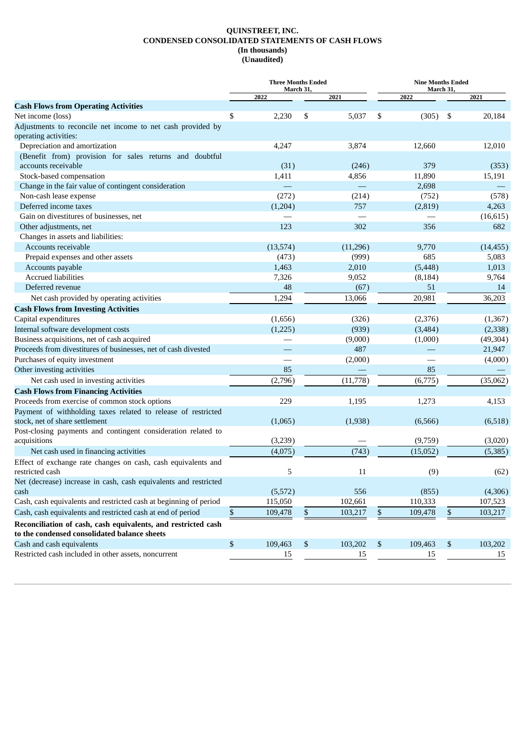#### **QUINSTREET, INC. CONDENSED CONSOLIDATED STATEMENTS OF CASH FLOWS (In thousands) (Unaudited)**

|                                                                                                               | <b>Three Months Ended</b><br>March 31, |               | <b>Nine Months Ended</b><br>March 31, |          |     |           |
|---------------------------------------------------------------------------------------------------------------|----------------------------------------|---------------|---------------------------------------|----------|-----|-----------|
|                                                                                                               | 2022                                   | 2021          |                                       | 2022     |     | 2021      |
| <b>Cash Flows from Operating Activities</b>                                                                   |                                        |               |                                       |          |     |           |
| Net income (loss)                                                                                             | \$<br>2,230                            | \$<br>5,037   | \$                                    | (305)    | -\$ | 20,184    |
| Adjustments to reconcile net income to net cash provided by                                                   |                                        |               |                                       |          |     |           |
| operating activities:                                                                                         |                                        |               |                                       |          |     |           |
| Depreciation and amortization                                                                                 | 4,247                                  | 3,874         |                                       | 12,660   |     | 12,010    |
| (Benefit from) provision for sales returns and doubtful                                                       |                                        |               |                                       |          |     |           |
| accounts receivable                                                                                           | (31)                                   | (246)         |                                       | 379      |     | (353)     |
| Stock-based compensation                                                                                      | 1,411                                  | 4,856         |                                       | 11,890   |     | 15,191    |
| Change in the fair value of contingent consideration                                                          |                                        |               |                                       | 2,698    |     |           |
| Non-cash lease expense                                                                                        | (272)                                  | (214)         |                                       | (752)    |     | (578)     |
| Deferred income taxes                                                                                         | (1,204)                                | 757           |                                       | (2,819)  |     | 4,263     |
| Gain on divestitures of businesses, net                                                                       |                                        |               |                                       |          |     | (16, 615) |
| Other adjustments, net                                                                                        | 123                                    | 302           |                                       | 356      |     | 682       |
| Changes in assets and liabilities:                                                                            |                                        |               |                                       |          |     |           |
| Accounts receivable                                                                                           | (13, 574)                              | (11,296)      |                                       | 9,770    |     | (14, 455) |
| Prepaid expenses and other assets                                                                             | (473)                                  | (999)         |                                       | 685      |     | 5,083     |
| Accounts payable<br><b>Accrued liabilities</b>                                                                | 1,463                                  | 2,010         |                                       | (5, 448) |     | 1,013     |
| Deferred revenue                                                                                              | 7,326                                  | 9,052         |                                       | (8, 184) |     | 9,764     |
|                                                                                                               | 48                                     | (67)          |                                       | 51       |     | 14        |
| Net cash provided by operating activities                                                                     | 1,294                                  | 13,066        |                                       | 20,981   |     | 36,203    |
| <b>Cash Flows from Investing Activities</b>                                                                   |                                        |               |                                       |          |     |           |
| Capital expenditures                                                                                          | (1,656)                                | (326)         |                                       | (2,376)  |     | (1, 367)  |
| Internal software development costs                                                                           | (1,225)                                | (939)         |                                       | (3,484)  |     | (2, 338)  |
| Business acquisitions, net of cash acquired                                                                   |                                        | (9,000)       |                                       | (1,000)  |     | (49, 304) |
| Proceeds from divestitures of businesses, net of cash divested                                                |                                        | 487           |                                       |          |     | 21,947    |
| Purchases of equity investment                                                                                |                                        | (2,000)       |                                       |          |     | (4,000)   |
| Other investing activities                                                                                    | 85                                     |               |                                       | 85       |     |           |
| Net cash used in investing activities                                                                         | (2,796)                                | (11, 778)     |                                       | (6,775)  |     | (35,062)  |
| <b>Cash Flows from Financing Activities</b>                                                                   |                                        |               |                                       |          |     |           |
| Proceeds from exercise of common stock options                                                                | 229                                    | 1,195         |                                       | 1,273    |     | 4,153     |
| Payment of withholding taxes related to release of restricted<br>stock, net of share settlement               | (1,065)                                | (1,938)       |                                       | (6,566)  |     | (6,518)   |
| Post-closing payments and contingent consideration related to                                                 |                                        |               |                                       |          |     |           |
| acquisitions                                                                                                  | (3,239)                                |               |                                       | (9,759)  |     | (3,020)   |
| Net cash used in financing activities                                                                         | (4,075)                                | (743)         |                                       | (15,052) |     | (5,385)   |
| Effect of exchange rate changes on cash, cash equivalents and<br>restricted cash                              | 5                                      | 11            |                                       | (9)      |     | (62)      |
| Net (decrease) increase in cash, cash equivalents and restricted<br>cash                                      | (5,572)                                | 556           |                                       | (855)    |     | (4,306)   |
| Cash, cash equivalents and restricted cash at beginning of period                                             | 115,050                                | 102,661       |                                       | 110,333  |     | 107,523   |
| Cash, cash equivalents and restricted cash at end of period                                                   | \$<br>109,478                          | \$<br>103,217 | \$                                    | 109,478  | \$  | 103,217   |
|                                                                                                               |                                        |               |                                       |          |     |           |
| Reconciliation of cash, cash equivalents, and restricted cash<br>to the condensed consolidated balance sheets |                                        |               |                                       |          |     |           |
| Cash and cash equivalents                                                                                     | \$<br>109,463                          | \$<br>103,202 | \$                                    | 109,463  | \$  | 103,202   |
| Restricted cash included in other assets, noncurrent                                                          | 15                                     | 15            |                                       | 15       |     | 15        |
|                                                                                                               |                                        |               |                                       |          |     |           |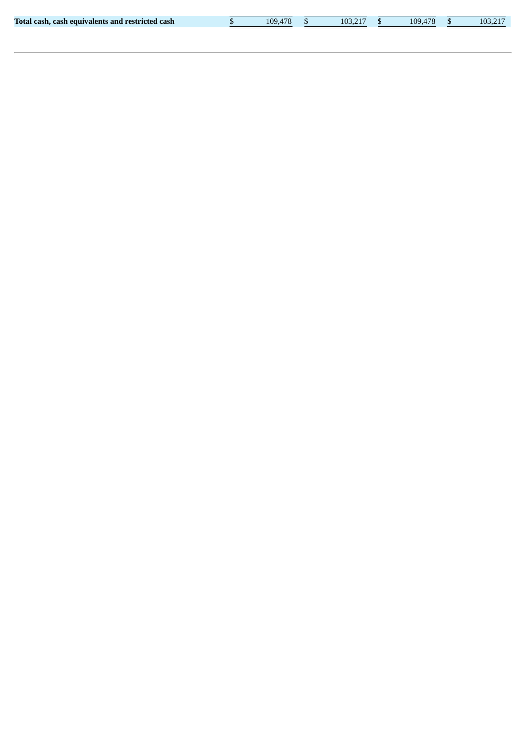|  |  |  |  | [otal cash, cash equivalents and restricted cash] |  |
|--|--|--|--|---------------------------------------------------|--|
|--|--|--|--|---------------------------------------------------|--|

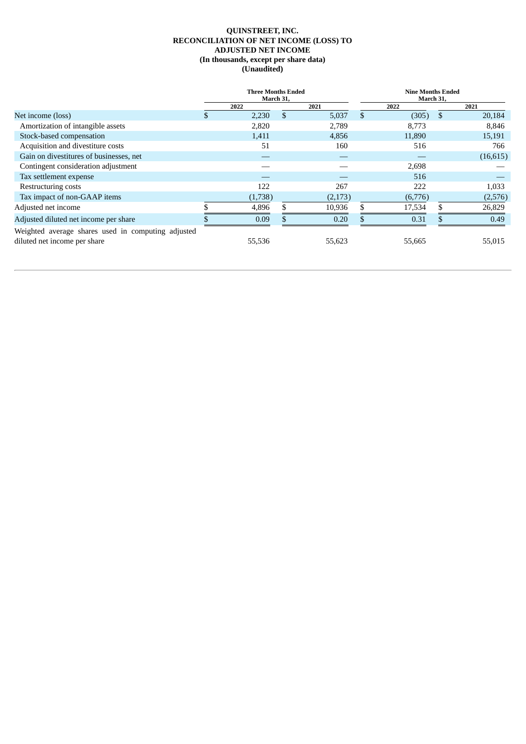# **QUINSTREET, INC. RECONCILIATION OF NET INCOME (LOSS) TO ADJUSTED NET INCOME (In thousands, except per share data) (Unaudited)**

|                                                                                    | <b>Three Months Ended</b><br>March 31, |         |     |         |    | <b>Nine Months Ended</b><br>March 31, |               |           |  |
|------------------------------------------------------------------------------------|----------------------------------------|---------|-----|---------|----|---------------------------------------|---------------|-----------|--|
|                                                                                    |                                        | 2022    |     | 2021    |    | 2022                                  |               | 2021      |  |
| Net income (loss)                                                                  |                                        | 2,230   | \$. | 5,037   | \$ | (305)                                 | <sup>\$</sup> | 20,184    |  |
| Amortization of intangible assets                                                  |                                        | 2,820   |     | 2,789   |    | 8,773                                 |               | 8,846     |  |
| Stock-based compensation                                                           |                                        | 1,411   |     | 4,856   |    | 11,890                                |               | 15,191    |  |
| Acquisition and divestiture costs                                                  |                                        | 51      |     | 160     |    | 516                                   |               | 766       |  |
| Gain on divestitures of businesses, net                                            |                                        |         |     |         |    |                                       |               | (16, 615) |  |
| Contingent consideration adjustment                                                |                                        |         |     |         |    | 2,698                                 |               |           |  |
| Tax settlement expense                                                             |                                        |         |     |         |    | 516                                   |               |           |  |
| Restructuring costs                                                                |                                        | 122     |     | 267     |    | 222                                   |               | 1,033     |  |
| Tax impact of non-GAAP items                                                       |                                        | (1,738) |     | (2,173) |    | (6,776)                               |               | (2,576)   |  |
| Adjusted net income                                                                |                                        | 4,896   |     | 10,936  |    | 17,534                                |               | 26,829    |  |
| Adjusted diluted net income per share                                              |                                        | 0.09    |     | 0.20    |    | 0.31                                  |               | 0.49      |  |
| Weighted average shares used in computing adjusted<br>diluted net income per share |                                        | 55,536  |     | 55,623  |    | 55,665                                |               | 55,015    |  |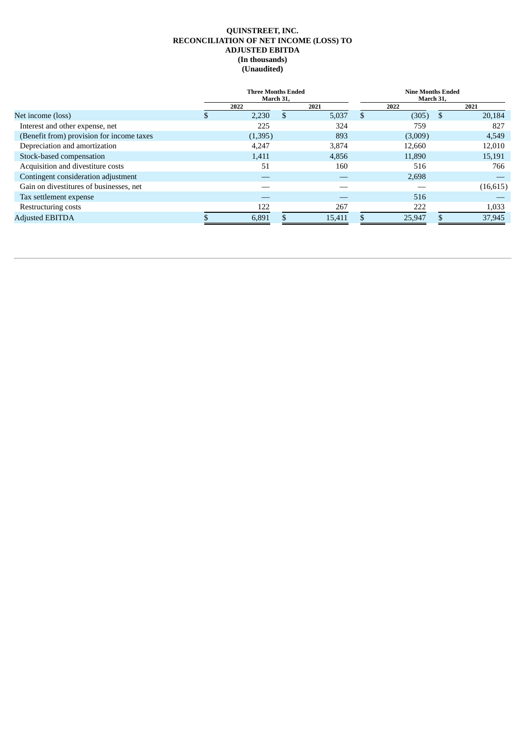### **QUINSTREET, INC. RECONCILIATION OF NET INCOME (LOSS) TO ADJUSTED EBITDA (In thousands) (Unaudited)**

|                                           | <b>Three Months Ended</b><br>March 31, |         |    |        |    | <b>Nine Months Ended</b><br>March 31, |      |           |  |
|-------------------------------------------|----------------------------------------|---------|----|--------|----|---------------------------------------|------|-----------|--|
|                                           | 2022                                   |         |    | 2021   |    | 2022                                  | 2021 |           |  |
| Net income (loss)                         |                                        | 2,230   | \$ | 5,037  | \$ | (305)                                 | S    | 20,184    |  |
| Interest and other expense, net           |                                        | 225     |    | 324    |    | 759                                   |      | 827       |  |
| (Benefit from) provision for income taxes |                                        | (1,395) |    | 893    |    | (3,009)                               |      | 4,549     |  |
| Depreciation and amortization             |                                        | 4,247   |    | 3,874  |    | 12,660                                |      | 12,010    |  |
| Stock-based compensation                  |                                        | 1,411   |    | 4,856  |    | 11,890                                |      | 15,191    |  |
| Acquisition and divestiture costs         |                                        | 51      |    | 160    |    | 516                                   |      | 766       |  |
| Contingent consideration adjustment       |                                        |         |    |        |    | 2,698                                 |      |           |  |
| Gain on divestitures of businesses, net   |                                        |         |    |        |    |                                       |      | (16, 615) |  |
| Tax settlement expense                    |                                        |         |    |        |    | 516                                   |      |           |  |
| Restructuring costs                       |                                        | 122     |    | 267    |    | 222                                   |      | 1,033     |  |
| <b>Adjusted EBITDA</b>                    |                                        | 6,891   |    | 15,411 |    | 25,947                                |      | 37,945    |  |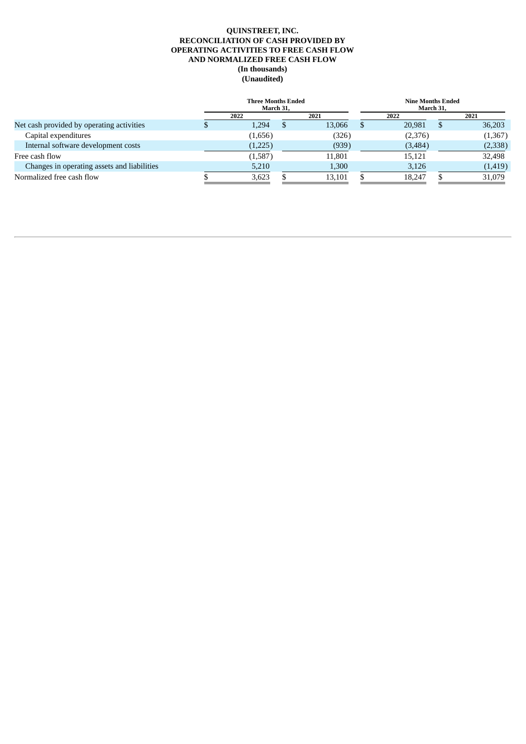# **QUINSTREET, INC. RECONCILIATION OF CASH PROVIDED BY OPERATING ACTIVITIES TO FREE CASH FLOW AND NORMALIZED FREE CASH FLOW (In thousands) (Unaudited)**

|                                             | <b>Three Months Ended</b><br>March 31. |         |  |        |  | <b>Nine Months Ended</b><br>March 31. |              |          |  |  |
|---------------------------------------------|----------------------------------------|---------|--|--------|--|---------------------------------------|--------------|----------|--|--|
|                                             |                                        | 2022    |  | 2021   |  | 2022                                  |              | 2021     |  |  |
| Net cash provided by operating activities   |                                        | 1.294   |  | 13,066 |  | 20.981                                | <sup>3</sup> | 36,203   |  |  |
| Capital expenditures                        |                                        | (1,656) |  | (326)  |  | (2,376)                               |              | (1,367)  |  |  |
| Internal software development costs         |                                        | (1,225) |  | (939)  |  | (3,484)                               |              | (2,338)  |  |  |
| Free cash flow                              |                                        | (1,587) |  | 11,801 |  | 15,121                                |              | 32,498   |  |  |
| Changes in operating assets and liabilities |                                        | 5,210   |  | 1,300  |  | 3,126                                 |              | (1, 419) |  |  |
| Normalized free cash flow                   |                                        | 3,623   |  | 13,101 |  | 18.247                                |              | 31,079   |  |  |